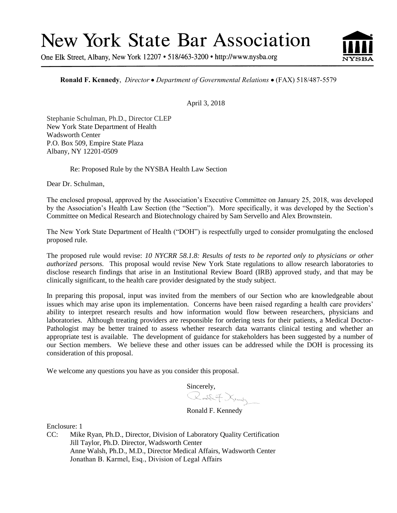# **New York State Bar Association**

One Elk Street, Albany, New York 12207 • 518/463-3200 • http://www.nysba.org



**Ronald F. Kennedy**, *Director Department of Governmental Relations* (FAX) 518/487-5579

April 3, 2018

Stephanie Schulman, Ph.D., Director CLEP New York State Department of Health Wadsworth Center P.O. Box 509, Empire State Plaza Albany, NY 12201-0509

Re: Proposed Rule by the NYSBA Health Law Section

Dear Dr. Schulman,

The enclosed proposal, approved by the Association's Executive Committee on January 25, 2018, was developed by the Association's Health Law Section (the "Section"). More specifically, it was developed by the Section's Committee on Medical Research and Biotechnology chaired by Sam Servello and Alex Brownstein.

The New York State Department of Health ("DOH") is respectfully urged to consider promulgating the enclosed proposed rule.

The proposed rule would revise: *10 NYCRR 58.1.8: Results of tests to be reported only to physicians or other authorized persons.* This proposal would revise New York State regulations to allow research laboratories to disclose research findings that arise in an Institutional Review Board (IRB) approved study, and that may be clinically significant, to the health care provider designated by the study subject.

In preparing this proposal, input was invited from the members of our Section who are knowledgeable about issues which may arise upon its implementation. Concerns have been raised regarding a health care providers' ability to interpret research results and how information would flow between researchers, physicians and laboratories. Although treating providers are responsible for ordering tests for their patients, a Medical Doctor-Pathologist may be better trained to assess whether research data warrants clinical testing and whether an appropriate test is available. The development of guidance for stakeholders has been suggested by a number of our Section members. We believe these and other issues can be addressed while the DOH is processing its consideration of this proposal.

We welcome any questions you have as you consider this proposal.

 $Sineerely,$ <br> $\mathbb{R} \times \mathbb{R}$   $\mathbb{R}$   $\mathbb{R}$   $\mathbb{R}$ 

Ronald F. Kennedy

Enclosure: 1

CC: Mike Ryan, Ph.D., Director, Division of Laboratory Quality Certification Jill Taylor, Ph.D. Director, Wadsworth Center Anne Walsh, Ph.D., M.D., Director Medical Affairs, Wadsworth Center Jonathan B. Karmel, Esq., Division of Legal Affairs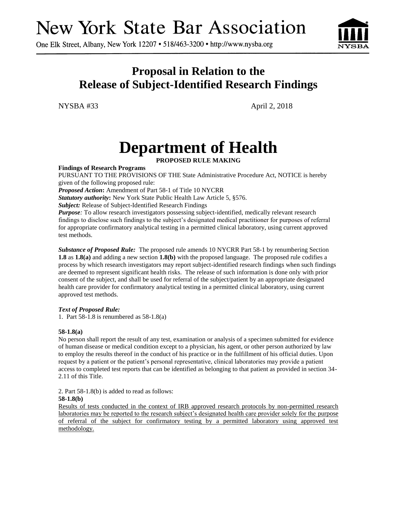# **New York State Bar Association**

One Elk Street, Albany, New York 12207 • 518/463-3200 • http://www.nysba.org



### **Proposal in Relation to the Release of Subject-Identified Research Findings**

NYSBA #33 April 2, 2018

## **Department of Health**

**PROPOSED RULE MAKING**

**Findings of Research Programs**

PURSUANT TO THE PROVISIONS OF THE State Administrative Procedure Act, NOTICE is hereby given of the following proposed rule:

*Proposed Action***:** Amendment of Part 58-1 of Title 10 NYCRR

*Statutory authority***:** New York State Public Health Law Article 5, §576.

*Subject:* Release of Subject-Identified Research Findings

*Purpose:* To allow research investigators possessing subject-identified, medically relevant research findings to disclose such findings to the subject's designated medical practitioner for purposes of referral for appropriate confirmatory analytical testing in a permitted clinical laboratory, using current approved test methods.

**Substance of Proposed Rule:** The proposed rule amends 10 NYCRR Part 58-1 by renumbering Section **1.8** as **1.8(a)** and adding a new section **1.8(b)** with the proposed language. The proposed rule codifies a process by which research investigators may report subject-identified research findings when such findings are deemed to represent significant health risks. The release of such information is done only with prior consent of the subject, and shall be used for referral of the subject/patient by an appropriate designated health care provider for confirmatory analytical testing in a permitted clinical laboratory, using current approved test methods.

### *Text of Proposed Rule:*

1. Part 58-1.8 is renumbered as 58-1.8(a)

### **58-1.8(a)**

No person shall report the result of any test, examination or analysis of a specimen submitted for evidence of human disease or medical condition except to a physician, his agent, or other person authorized by law to employ the results thereof in the conduct of his practice or in the fulfillment of his official duties. Upon request by a patient or the patient's personal representative, clinical laboratories may provide a patient access to completed test reports that can be identified as belonging to that patient as provided in section 34- 2.11 of this Title.

2. Part 58-1.8(b) is added to read as follows:

### **58-1.8(b)**

Results of tests conducted in the context of IRB approved research protocols by non-permitted research laboratories may be reported to the research subject's designated health care provider solely for the purpose of referral of the subject for confirmatory testing by a permitted laboratory using approved test methodology.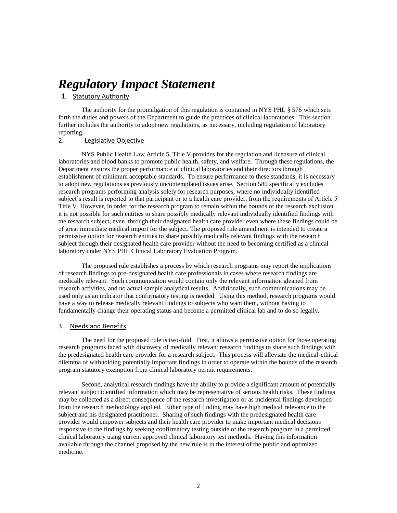### *Regulatory Impact Statement*

### 1. Statutory Authority

The authority for the promulgation of this regulation is contained in NYS PHL § 576 which sets forth the duties and powers of the Department to guide the practices of clinical laboratories. This section further includes the authority to adopt new regulations, as necessary, including regulation of laboratory reporting.

### 2. Legislative Objective

NYS Public Health Law Article 5, Title V provides for the regulation and licensure of clinical laboratories and blood banks to promote public health, safety, and welfare. Through these regulations, the Department ensures the proper performance of clinical laboratories and their directors through establishment of minimum acceptable standards. To ensure performance to these standards, it is necessary to adopt new regulations as previously uncontemplated issues arise. Section 580 specifically excludes research programs performing analysis solely for research purposes, where no individually identified subject's result is reported to that participant or to a health care provider, from the requirements of Article 5 Title V. However, in order for the research program to remain within the bounds of the research exclusion it is not possible for such entities to share possibly medically relevant individually identified findings with the research subject, even through their designated health care provider even where these findings could be of great immediate medical import for the subject. The proposed rule amendment is intended to create a permissive option for research entities to share possibly medically relevant findings with the research subject through their designated health care provider without the need to becoming certified as a clinical laboratory under NYS PHL Clinical Laboratory Evaluation Program.

The proposed rule establishes a process by which research programs may report the implications of research findings to pre-designated health care professionals in cases where research findings are medically relevant. Such communication would contain only the relevant information gleaned from research activities, and no actual sample analytical results. Additionally, such communications may be used only as an indicator that confirmatory testing is needed. Using this method, research programs would have a way to release medically relevant findings to subjects who want them, without having to fundamentally change their operating status and become a permitted clinical lab and to do so legally.

### 3. Needs and Benefits

The need for the proposed rule is two-fold. First, it allows a permissive option for those operating research programs faced with discovery of medically relevant research findings to share such findings with the predesignated health care provider for a research subject. This process will alleviate the medical-ethical dilemma of withholding potentially important findings in order to operate within the bounds of the research program statutory exemption from clinical laboratory permit requirements.

Second, analytical research findings have the ability to provide a significant amount of potentially relevant subject identified information which may be representative of serious health risks. These findings may be collected as a direct consequence of the research investigation or as incidental findings developed from the research methodology applied. Either type of finding may have high medical relevance to the subject and his designated practitioner. Sharing of such findings with the predesignated health care provider would empower subjects and their health care provider to make important medical decisions responsive to the findings by seeking confirmatory testing outside of the research program in a permitted clinical laboratory using current approved clinical laboratory test methods. Having this information available through the channel proposed by the new rule is in the interest of the public and optimized medicine.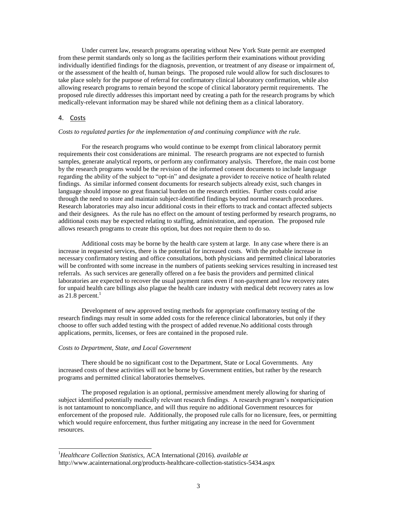Under current law, research programs operating without New York State permit are exempted from these permit standards only so long as the facilities perform their examinations without providing individually identified findings for the diagnosis, prevention, or treatment of any disease or impairment of, or the assessment of the health of, human beings. The proposed rule would allow for such disclosures to take place solely for the purpose of referral for confirmatory clinical laboratory confirmation, while also allowing research programs to remain beyond the scope of clinical laboratory permit requirements. The proposed rule directly addresses this important need by creating a path for the research programs by which medically-relevant information may be shared while not defining them as a clinical laboratory.

### 4. Costs

 $\overline{a}$ 

### *Costs to regulated parties for the implementation of and continuing compliance with the rule.*

For the research programs who would continue to be exempt from clinical laboratory permit requirements their cost considerations are minimal. The research programs are not expected to furnish samples, generate analytical reports, or perform any confirmatory analysis. Therefore, the main cost borne by the research programs would be the revision of the informed consent documents to include language regarding the ability of the subject to "opt-in" and designate a provider to receive notice of health related findings. As similar informed consent documents for research subjects already exist, such changes in language should impose no great financial burden on the research entities. Further costs could arise through the need to store and maintain subject-identified findings beyond normal research procedures. Research laboratories may also incur additional costs in their efforts to track and contact affected subjects and their designees. As the rule has no effect on the amount of testing performed by research programs, no additional costs may be expected relating to staffing, administration, and operation. The proposed rule allows research programs to create this option, but does not require them to do so.

Additional costs may be borne by the health care system at large. In any case where there is an increase in requested services, there is the potential for increased costs. With the probable increase in necessary confirmatory testing and office consultations, both physicians and permitted clinical laboratories will be confronted with some increase in the numbers of patients seeking services resulting in increased test referrals. As such services are generally offered on a fee basis the providers and permitted clinical laboratories are expected to recover the usual payment rates even if non-payment and low recovery rates for unpaid health care billings also plague the health care industry with medical debt recovery rates as low as  $21.8$  percent.<sup>1</sup>

Development of new approved testing methods for appropriate confirmatory testing of the research findings may result in some added costs for the reference clinical laboratories, but only if they choose to offer such added testing with the prospect of added revenue.No additional costs through applications, permits, licenses, or fees are contained in the proposed rule.

#### *Costs to Department, State, and Local Government*

There should be no significant cost to the Department, State or Local Governments. Any increased costs of these activities will not be borne by Government entities, but rather by the research programs and permitted clinical laboratories themselves.

The proposed regulation is an optional, permissive amendment merely allowing for sharing of subject identified potentially medically relevant research findings. A research program's nonparticipation is not tantamount to noncompliance, and will thus require no additional Government resources for enforcement of the proposed rule. Additionally, the proposed rule calls for no licensure, fees, or permitting which would require enforcement, thus further mitigating any increase in the need for Government resources.

<sup>1</sup>*Healthcare Collection Statistics,* ACA International (2016). *available at* http://www.acainternational.org/products-healthcare-collection-statistics-5434.aspx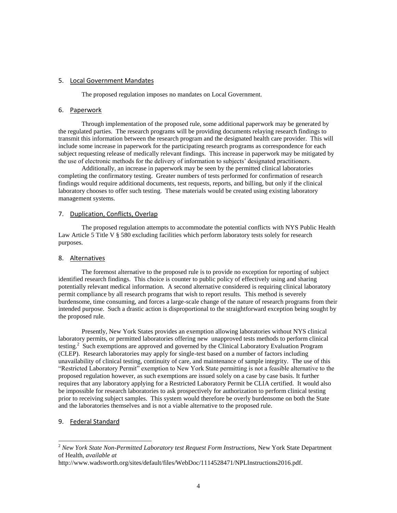### 5. Local Government Mandates

The proposed regulation imposes no mandates on Local Government.

### 6. Paperwork

Through implementation of the proposed rule, some additional paperwork may be generated by the regulated parties. The research programs will be providing documents relaying research findings to transmit this information between the research program and the designated health care provider. This will include some increase in paperwork for the participating research programs as correspondence for each subject requesting release of medically relevant findings. This increase in paperwork may be mitigated by the use of electronic methods for the delivery of information to subjects' designated practitioners.

Additionally, an increase in paperwork may be seen by the permitted clinical laboratories completing the confirmatory testing. Greater numbers of tests performed for confirmation of research findings would require additional documents, test requests, reports, and billing, but only if the clinical laboratory chooses to offer such testing. These materials would be created using existing laboratory management systems.

### 7. Duplication, Conflicts, Overlap

The proposed regulation attempts to accommodate the potential conflicts with NYS Public Health Law Article 5 Title V § 580 excluding facilities which perform laboratory tests solely for research purposes.

### 8. Alternatives

The foremost alternative to the proposed rule is to provide no exception for reporting of subject identified research findings. This choice is counter to public policy of effectively using and sharing potentially relevant medical information. A second alternative considered is requiring clinical laboratory permit compliance by all research programs that wish to report results. This method is severely burdensome, time consuming, and forces a large-scale change of the nature of research programs from their intended purpose. Such a drastic action is disproportional to the straightforward exception being sought by the proposed rule.

Presently, New York States provides an exemption allowing laboratories without NYS clinical laboratory permits, or permitted laboratories offering new unapproved tests methods to perform clinical testing.<sup>2</sup> Such exemptions are approved and governed by the Clinical Laboratory Evaluation Program (CLEP). Research laboratories may apply for single-test based on a number of factors including unavailability of clinical testing, continuity of care, and maintenance of sample integrity. The use of this "Restricted Laboratory Permit" exemption to New York State permitting is not a feasible alternative to the proposed regulation however, as such exemptions are issued solely on a case by case basis. It further requires that any laboratory applying for a Restricted Laboratory Permit be CLIA certified. It would also be impossible for research laboratories to ask prospectively for authorization to perform clinical testing prior to receiving subject samples. This system would therefore be overly burdensome on both the State and the laboratories themselves and is not a viable alternative to the proposed rule.

### 9. Federal Standard

l

<sup>&</sup>lt;sup>2</sup> *New York State Non-Permitted Laboratory test Request Form Instructions, New York State Department* of Health, *available at* 

http://www.wadsworth.org/sites/default/files/WebDoc/1114528471/NPLInstructions2016.pdf.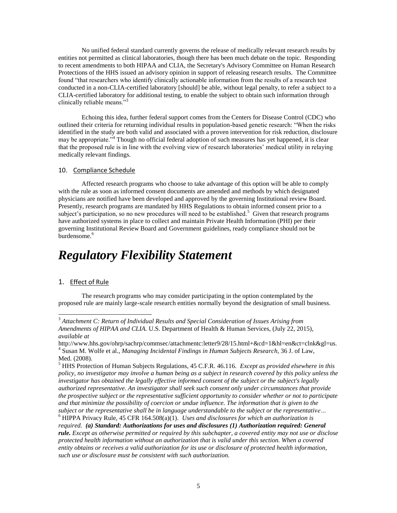No unified federal standard currently governs the release of medically relevant research results by entities not permitted as clinical laboratories, though there has been much debate on the topic. Responding to recent amendments to both HIPAA and CLIA, the Secretary's Advisory Committee on Human Research Protections of the HHS issued an advisory opinion in support of releasing research results. The Committee found "that researchers who identify clinically actionable information from the results of a research test conducted in a non-CLIA-certified laboratory [should] be able, without legal penalty, to refer a subject to a CLIA-certified laboratory for additional testing, to enable the subject to obtain such information through clinically reliable means."<sup>3</sup>

Echoing this idea, further federal support comes from the Centers for Disease Control (CDC) who outlined their criteria for returning individual results in population-based genetic research: "When the risks identified in the study are both valid and associated with a proven intervention for risk reduction, disclosure may be appropriate."<sup>4</sup> Though no official federal adoption of such measures has yet happened, it is clear that the proposed rule is in line with the evolving view of research laboratories' medical utility in relaying medically relevant findings.

### 10.Compliance Schedule

Affected research programs who choose to take advantage of this option will be able to comply with the rule as soon as informed consent documents are amended and methods by which designated physicians are notified have been developed and approved by the governing Institutional review Board. Presently, research programs are mandated by HHS Regulations to obtain informed consent prior to a subject's participation, so no new procedures will need to be established.<sup>5</sup> Given that research programs have authorized systems in place to collect and maintain Private Health Information (PHI) per their governing Institutional Review Board and Government guidelines, ready compliance should not be burdensome.<sup>6</sup>

### *Regulatory Flexibility Statement*

### 1. Effect of Rule

l

The research programs who may consider participating in the option contemplated by the proposed rule are mainly large-scale research entities normally beyond the designation of small business.

<sup>3</sup> *Attachment C: Return of Individual Results and Special Consideration of Issues Arising from Amendments of HIPAA and CLIA.* U.S. Department of Health & Human Services, (July 22, 2015), *available at*

http://www.hhs.gov/ohrp/sachrp/commsec/attachmentc:letter9/28/15.html+&cd=1&hl=en&ct=clnk&gl=us. 4 Susan M. Wolfe et al., *Managing Incidental Findings in Human Subjects Research,* 36 J. of Law, Med. (2008).

<sup>5</sup> HHS Protection of Human Subjects Regulations, 45 C.F.R. 46.116. *Except as provided elsewhere in this policy, no investigator may involve a human being as a subject in research covered by this policy unless the investigator has obtained the legally effective informed consent of the subject or the subject's legally authorized representative. An investigator shall seek such consent only under circumstances that provide the prospective subject or the representative sufficient opportunity to consider whether or not to participate and that minimize the possibility of coercion or undue influence. The information that is given to the subject or the representative shall be in language understandable to the subject or the representative…* <sup>6</sup> HIPPA Privacy Rule, 45 CFR 164.508(a)(1). *Uses and disclosures for which an authorization is* 

*required. (a) Standard: Authorizations for uses and disclosures (1) Authorization required: General rule. Except as otherwise permitted or required by this subchapter, a covered entity may not use or disclose protected health information without an authorization that is valid under this section. When a covered entity obtains or receives a valid authorization for its use or disclosure of protected health information, such use or disclosure must be consistent with such authorization.*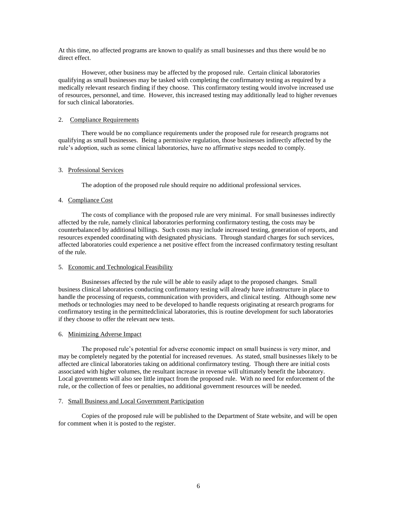At this time, no affected programs are known to qualify as small businesses and thus there would be no direct effect.

However, other business may be affected by the proposed rule. Certain clinical laboratories qualifying as small businesses may be tasked with completing the confirmatory testing as required by a medically relevant research finding if they choose. This confirmatory testing would involve increased use of resources, personnel, and time. However, this increased testing may additionally lead to higher revenues for such clinical laboratories.

### 2. Compliance Requirements

There would be no compliance requirements under the proposed rule for research programs not qualifying as small businesses. Being a permissive regulation, those businesses indirectly affected by the rule's adoption, such as some clinical laboratories, have no affirmative steps needed to comply.

### 3. Professional Services

The adoption of the proposed rule should require no additional professional services.

### 4. Compliance Cost

The costs of compliance with the proposed rule are very minimal. For small businesses indirectly affected by the rule, namely clinical laboratories performing confirmatory testing, the costs may be counterbalanced by additional billings. Such costs may include increased testing, generation of reports, and resources expended coordinating with designated physicians. Through standard charges for such services, affected laboratories could experience a net positive effect from the increased confirmatory testing resultant of the rule.

### 5. Economic and Technological Feasibility

Businesses affected by the rule will be able to easily adapt to the proposed changes. Small business clinical laboratories conducting confirmatory testing will already have infrastructure in place to handle the processing of requests, communication with providers, and clinical testing. Although some new methods or technologies may need to be developed to handle requests originating at research programs for confirmatory testing in the permittedclinical laboratories, this is routine development for such laboratories if they choose to offer the relevant new tests.

### 6. Minimizing Adverse Impact

The proposed rule's potential for adverse economic impact on small business is very minor, and may be completely negated by the potential for increased revenues. As stated, small businesses likely to be affected are clinical laboratories taking on additional confirmatory testing. Though there are initial costs associated with higher volumes, the resultant increase in revenue will ultimately benefit the laboratory. Local governments will also see little impact from the proposed rule. With no need for enforcement of the rule, or the collection of fees or penalties, no additional government resources will be needed.

#### 7. Small Business and Local Government Participation

Copies of the proposed rule will be published to the Department of State website, and will be open for comment when it is posted to the register.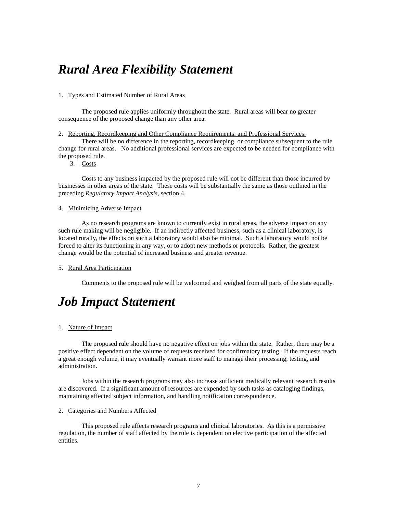### *Rural Area Flexibility Statement*

### 1. Types and Estimated Number of Rural Areas

The proposed rule applies uniformly throughout the state. Rural areas will bear no greater consequence of the proposed change than any other area.

2. Reporting, Recordkeeping and Other Compliance Requirements; and Professional Services:

There will be no difference in the reporting, recordkeeping, or compliance subsequent to the rule change for rural areas. No additional professional services are expected to be needed for compliance with the proposed rule.

3. Costs

Costs to any business impacted by the proposed rule will not be different than those incurred by businesses in other areas of the state. These costs will be substantially the same as those outlined in the preceding *Regulatory Impact Analysis,* section 4.

#### 4. Minimizing Adverse Impact

As no research programs are known to currently exist in rural areas, the adverse impact on any such rule making will be negligible. If an indirectly affected business, such as a clinical laboratory, is located rurally, the effects on such a laboratory would also be minimal. Such a laboratory would not be forced to alter its functioning in any way, or to adopt new methods or protocols. Rather, the greatest change would be the potential of increased business and greater revenue.

### 5. Rural Area Participation

Comments to the proposed rule will be welcomed and weighed from all parts of the state equally.

### *Job Impact Statement*

### 1. Nature of Impact

The proposed rule should have no negative effect on jobs within the state. Rather, there may be a positive effect dependent on the volume of requests received for confirmatory testing. If the requests reach a great enough volume, it may eventually warrant more staff to manage their processing, testing, and administration.

Jobs within the research programs may also increase sufficient medically relevant research results are discovered. If a significant amount of resources are expended by such tasks as cataloging findings, maintaining affected subject information, and handling notification correspondence.

#### 2. Categories and Numbers Affected

This proposed rule affects research programs and clinical laboratories. As this is a permissive regulation, the number of staff affected by the rule is dependent on elective participation of the affected entities.